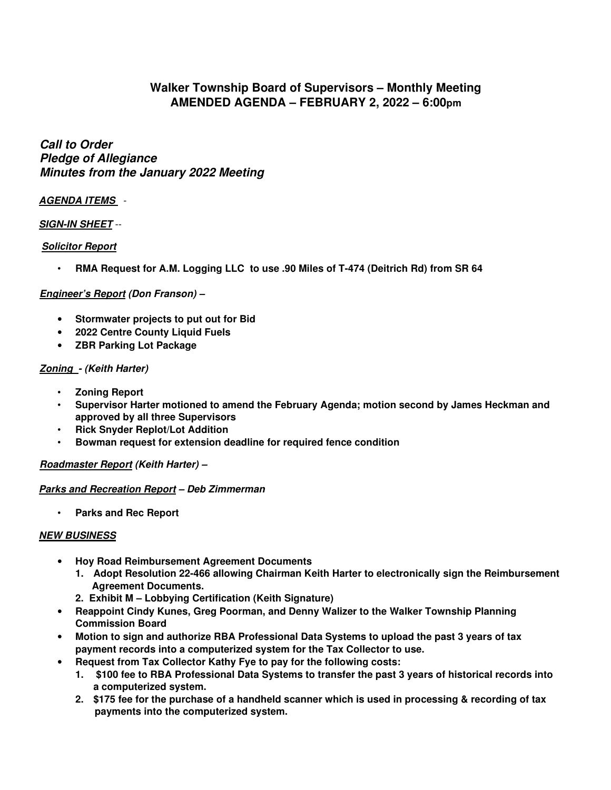# **Walker Township Board of Supervisors – Monthly Meeting AMENDED AGENDA – FEBRUARY 2, 2022 – 6:00pm**

**Call to Order Pledge of Allegiance Minutes from the January 2022 Meeting** 

## **AGENDA ITEMS** -

## **SIGN-IN SHEET** --

## **Solicitor Report**

• **RMA Request for A.M. Logging LLC to use .90 Miles of T-474 (Deitrich Rd) from SR 64**

#### **Engineer's Report (Don Franson) –**

- **Stormwater projects to put out for Bid**
- **2022 Centre County Liquid Fuels**
- **ZBR Parking Lot Package**

#### **Zoning - (Keith Harter)**

- **Zoning Report**
- **Supervisor Harter motioned to amend the February Agenda; motion second by James Heckman and approved by all three Supervisors**
- **Rick Snyder Replot/Lot Addition**
- **Bowman request for extension deadline for required fence condition**

## **Roadmaster Report (Keith Harter) –**

#### **Parks and Recreation Report – Deb Zimmerman**

• **Parks and Rec Report** 

## **NEW BUSINESS**

- **Hoy Road Reimbursement Agreement Documents** 
	- **1. Adopt Resolution 22-466 allowing Chairman Keith Harter to electronically sign the Reimbursement Agreement Documents.**
	- **2. Exhibit M Lobbying Certification (Keith Signature)**
- **Reappoint Cindy Kunes, Greg Poorman, and Denny Walizer to the Walker Township Planning Commission Board**
- **Motion to sign and authorize RBA Professional Data Systems to upload the past 3 years of tax payment records into a computerized system for the Tax Collector to use.**
- **Request from Tax Collector Kathy Fye to pay for the following costs:** 
	- **1. \$100 fee to RBA Professional Data Systems to transfer the past 3 years of historical records into a computerized system.**
	- **2. \$175 fee for the purchase of a handheld scanner which is used in processing & recording of tax payments into the computerized system.**